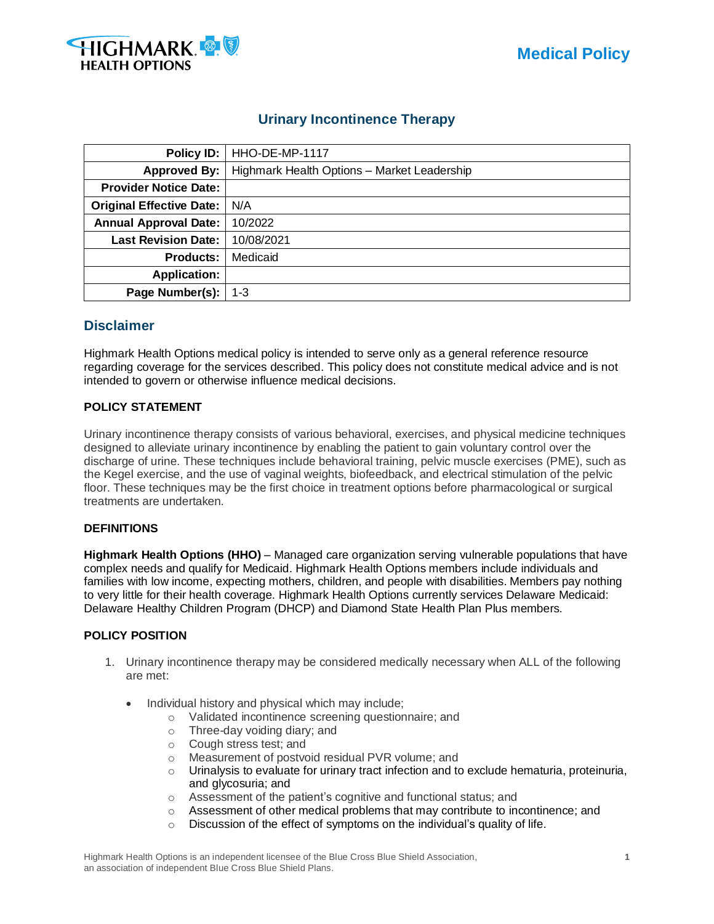



# **Urinary Incontinence Therapy**

|                                 | Policy ID:   HHO-DE-MP-1117                 |  |  |  |  |
|---------------------------------|---------------------------------------------|--|--|--|--|
| Approved By:                    | Highmark Health Options - Market Leadership |  |  |  |  |
| <b>Provider Notice Date:</b>    |                                             |  |  |  |  |
| <b>Original Effective Date:</b> | N/A                                         |  |  |  |  |
| <b>Annual Approval Date:</b>    | 10/2022                                     |  |  |  |  |
| <b>Last Revision Date:</b>      | 10/08/2021                                  |  |  |  |  |
| <b>Products:</b>                | Medicaid                                    |  |  |  |  |
| <b>Application:</b>             |                                             |  |  |  |  |
| Page Number(s):                 | $1 - 3$                                     |  |  |  |  |

# **Disclaimer**

Highmark Health Options medical policy is intended to serve only as a general reference resource regarding coverage for the services described. This policy does not constitute medical advice and is not intended to govern or otherwise influence medical decisions.

# **POLICY STATEMENT**

Urinary incontinence therapy consists of various behavioral, exercises, and physical medicine techniques designed to alleviate urinary incontinence by enabling the patient to gain voluntary control over the discharge of urine. These techniques include behavioral training, pelvic muscle exercises (PME), such as the Kegel exercise, and the use of vaginal weights, biofeedback, and electrical stimulation of the pelvic floor. These techniques may be the first choice in treatment options before pharmacological or surgical treatments are undertaken.

#### **DEFINITIONS**

**Highmark Health Options (HHO)** – Managed care organization serving vulnerable populations that have complex needs and qualify for Medicaid. Highmark Health Options members include individuals and families with low income, expecting mothers, children, and people with disabilities. Members pay nothing to very little for their health coverage. Highmark Health Options currently services Delaware Medicaid: Delaware Healthy Children Program (DHCP) and Diamond State Health Plan Plus members.

## **POLICY POSITION**

- 1. Urinary incontinence therapy may be considered medically necessary when ALL of the following are met:
	- Individual history and physical which may include;
		- o Validated incontinence screening questionnaire; and
		- o Three-day voiding diary; and
		- o Cough stress test; and
		- o Measurement of postvoid residual PVR volume; and
		- $\circ$  Urinalysis to evaluate for urinary tract infection and to exclude hematuria, proteinuria, and glycosuria; and
		- o Assessment of the patient's cognitive and functional status; and
		- $\circ$  Assessment of other medical problems that may contribute to incontinence; and
		- $\circ$  Discussion of the effect of symptoms on the individual's quality of life.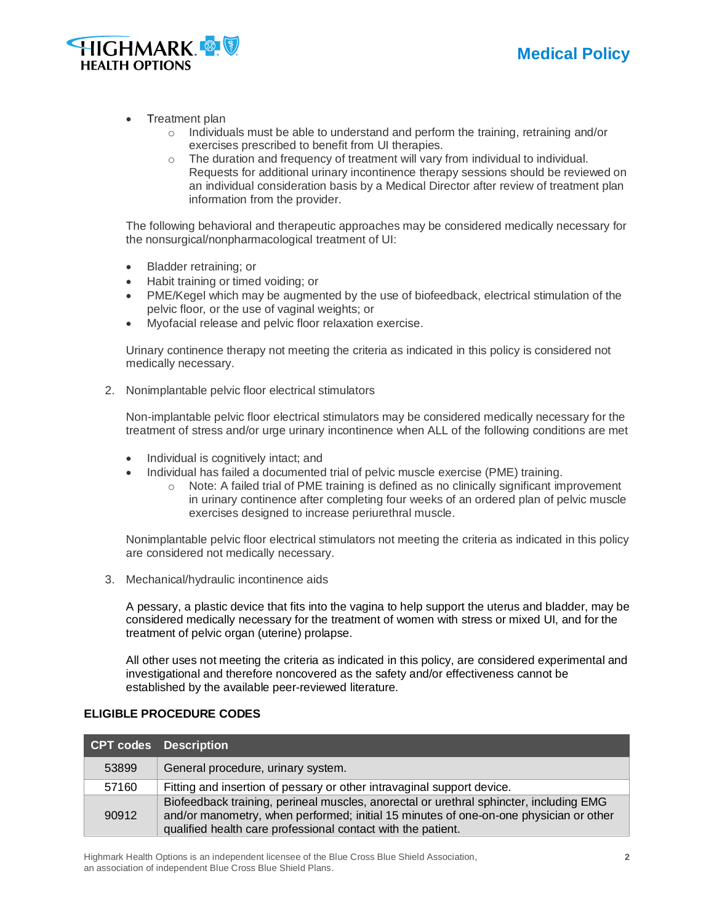



- Treatment plan
	- $\circ$  Individuals must be able to understand and perform the training, retraining and/or exercises prescribed to benefit from UI therapies.
	- o The duration and frequency of treatment will vary from individual to individual. Requests for additional urinary incontinence therapy sessions should be reviewed on an individual consideration basis by a Medical Director after review of treatment plan information from the provider.

The following behavioral and therapeutic approaches may be considered medically necessary for the nonsurgical/nonpharmacological treatment of UI:

- Bladder retraining; or
- Habit training or timed voiding; or
- PME/Kegel which may be augmented by the use of biofeedback, electrical stimulation of the pelvic floor, or the use of vaginal weights; or
- Myofacial release and pelvic floor relaxation exercise.

Urinary continence therapy not meeting the criteria as indicated in this policy is considered not medically necessary.

2. Nonimplantable pelvic floor electrical stimulators

Non-implantable pelvic floor electrical stimulators may be considered medically necessary for the treatment of stress and/or urge urinary incontinence when ALL of the following conditions are met

- Individual is cognitively intact; and
- Individual has failed a documented trial of pelvic muscle exercise (PME) training.
	- $\circ$  Note: A failed trial of PME training is defined as no clinically significant improvement in urinary continence after completing four weeks of an ordered plan of pelvic muscle exercises designed to increase periurethral muscle.

Nonimplantable pelvic floor electrical stimulators not meeting the criteria as indicated in this policy are considered not medically necessary.

3. Mechanical/hydraulic incontinence aids

A pessary, a plastic device that fits into the vagina to help support the uterus and bladder, may be considered medically necessary for the treatment of women with stress or mixed UI, and for the treatment of pelvic organ (uterine) prolapse.

All other uses not meeting the criteria as indicated in this policy, are considered experimental and investigational and therefore noncovered as the safety and/or effectiveness cannot be established by the available peer-reviewed literature.

#### **ELIGIBLE PROCEDURE CODES**

|       | CPT codes Description                                                                                                                                                                                                                           |
|-------|-------------------------------------------------------------------------------------------------------------------------------------------------------------------------------------------------------------------------------------------------|
| 53899 | General procedure, urinary system.                                                                                                                                                                                                              |
| 57160 | Fitting and insertion of pessary or other intravaginal support device.                                                                                                                                                                          |
| 90912 | Biofeedback training, perineal muscles, anorectal or urethral sphincter, including EMG<br>and/or manometry, when performed; initial 15 minutes of one-on-one physician or other<br>qualified health care professional contact with the patient. |

Highmark Health Options is an independent licensee of the Blue Cross Blue Shield Association, **2** an association of independent Blue Cross Blue Shield Plans.